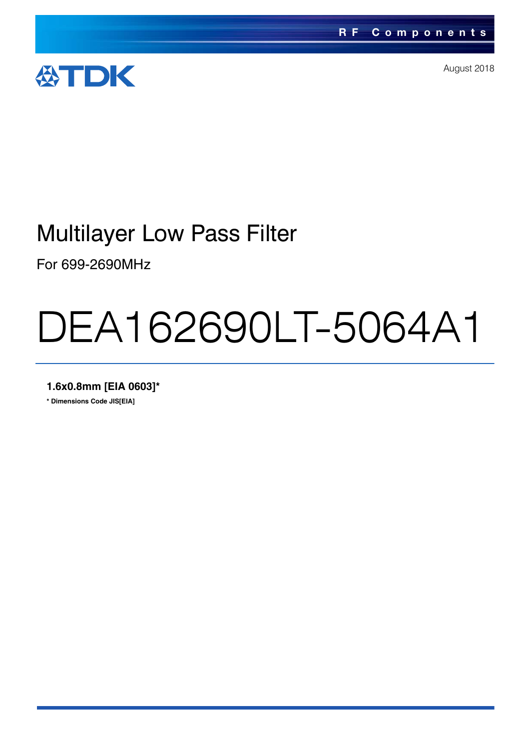

August 2018

### Multilayer Low Pass Filter

For 699-2690MHz

# DEA162690LT-5064A1

**1.6x0.8mm [EIA 0603]\***

**\* Dimensions Code JIS[EIA]**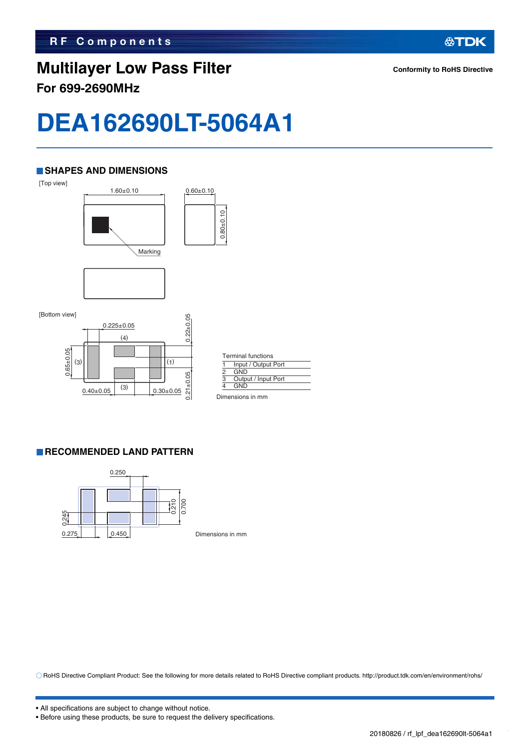### **Multilayer Low Pass Filter For 699-2690MHz**

**公TDK** 

## **DEA162690LT-5064A1**

#### **SHAPES AND DIMENSIONS**



 $0.21 \pm 0.05$ 

 $0.21 \pm 0.05$ 

|   | <b>Terminal functions</b> |
|---|---------------------------|
|   | Input / Output Port       |
| 2 | <b>GND</b>                |
| 3 | Output / Input Port       |
|   | GND                       |

Dimensions in mm

#### **RECOMMENDED LAND PATTERN**



 $0.40\pm0.05$   $^{(3)}$  0.30 $\pm0.05$ 

 $\overline{3}$ 

Dimensions in mm

RoHS Directive Compliant Product: See the following for more details related to RoHS Directive compliant products. http://product.tdk.com/en/environment/rohs/

<sup>•</sup> Before using these products, be sure to request the delivery specifications.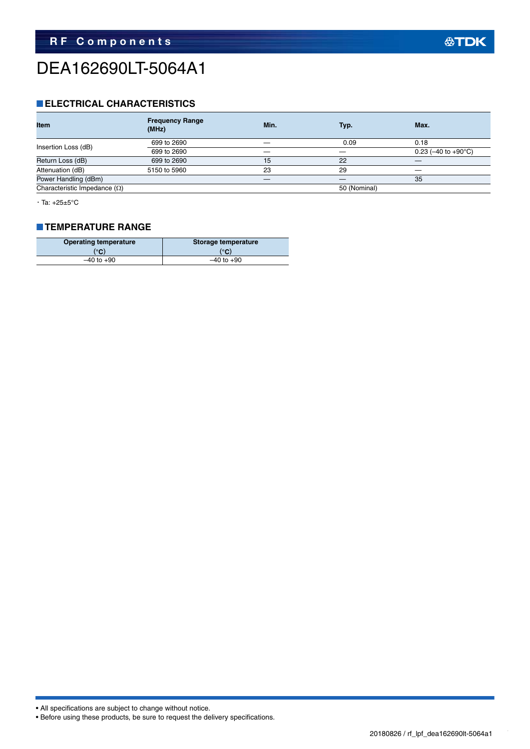### DEA162690LT-5064A1

#### **ELECTRICAL CHARACTERISTICS**

| <b>Frequency Range</b><br>(MHz) | Min. | Typ.         | Max.                             |
|---------------------------------|------|--------------|----------------------------------|
| 699 to 2690                     |      | 0.09         | 0.18                             |
| 699 to 2690                     |      |              | 0.23 ( $-40$ to $+90^{\circ}$ C) |
| 699 to 2690                     | 15   | 22           |                                  |
| 5150 to 5960                    | 23   | 29           |                                  |
|                                 |      |              | 35                               |
|                                 |      | 50 (Nominal) |                                  |
|                                 |      |              |                                  |

・Ta: +25±5°C

#### **TEMPERATURE RANGE**

| <b>Operating temperature</b> | Storage temperature |  |  |
|------------------------------|---------------------|--|--|
| (°C)                         | (°C)                |  |  |
| $-40$ to $+90$               | $-40$ to $+90$      |  |  |

• All specifications are subject to change without notice.

• Before using these products, be sure to request the delivery specifications.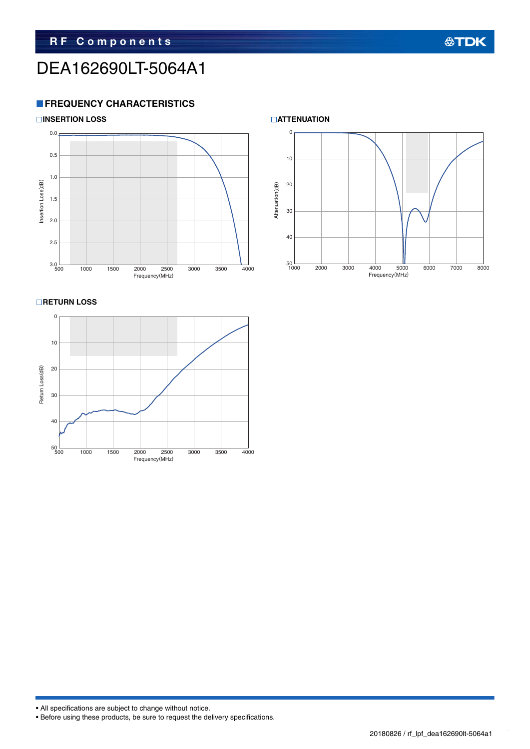### DEA162690LT-5064A1

#### **FREQUENCY CHARACTERISTICS**



#### **RETURN LOSS**





• All specifications are subject to change without notice.

• Before using these products, be sure to request the delivery specifications.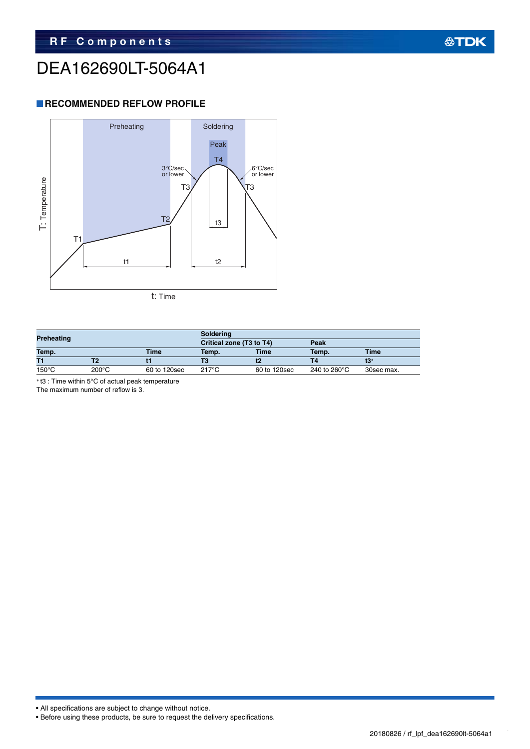### DEA162690LT-5064A1

#### **RECOMMENDED REFLOW PROFILE**



| Preheating           |                 |              | <b>Soldering</b>         |              |                                 |            |  |
|----------------------|-----------------|--------------|--------------------------|--------------|---------------------------------|------------|--|
|                      |                 |              | Critical zone (T3 to T4) |              | Peak                            |            |  |
| Temp.<br><b>Time</b> |                 | Temp.        | <b>Time</b>              | Temp.        | <b>Time</b>                     |            |  |
| T1                   |                 |              |                          |              |                                 |            |  |
| $150^{\circ}$ C      | $200^{\circ}$ C | 60 to 120sec | 217°C                    | 60 to 120sec | 240 to 260 $\mathrm{^{\circ}C}$ | 30sec max. |  |

t3 : Time within 5°C of actual peak temperature

The maximum number of reflow is 3.

• All specifications are subject to change without notice.

```
• Before using these products, be sure to request the delivery specifications.
```